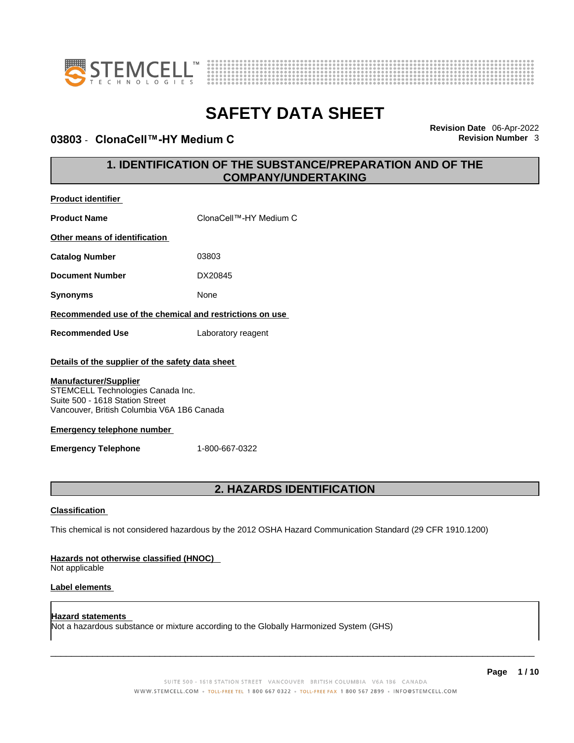

**Product identifier**



# **SAFETY DATA SHEET**

### **03803 · ClonaCell™-HY Medium C**

**Revision Date** 06-Apr-2022

### **1. IDENTIFICATION OF THE SUBSTANCE/PREPARATION AND OF THE COMPANY/UNDERTAKING**

| <b>Product Name</b>                                                                                                                                                                                                                                                       | ClonaCell™-HY Medium C                                                                                      |  |
|---------------------------------------------------------------------------------------------------------------------------------------------------------------------------------------------------------------------------------------------------------------------------|-------------------------------------------------------------------------------------------------------------|--|
| Other means of identification                                                                                                                                                                                                                                             |                                                                                                             |  |
| <b>Catalog Number</b>                                                                                                                                                                                                                                                     | 03803                                                                                                       |  |
| <b>Document Number</b>                                                                                                                                                                                                                                                    | DX20845                                                                                                     |  |
| <b>Synonyms</b>                                                                                                                                                                                                                                                           | None                                                                                                        |  |
| Recommended use of the chemical and restrictions on use                                                                                                                                                                                                                   |                                                                                                             |  |
| <b>Recommended Use</b>                                                                                                                                                                                                                                                    | Laboratory reagent                                                                                          |  |
| Details of the supplier of the safety data sheet<br><b>Manufacturer/Supplier</b><br>STEMCELL Technologies Canada Inc.<br>Suite 500 - 1618 Station Street<br>Vancouver, British Columbia V6A 1B6 Canada<br><b>Emergency telephone number</b><br><b>Emergency Telephone</b> | 1-800-667-0322                                                                                              |  |
| 2. HAZARDS IDENTIFICATION                                                                                                                                                                                                                                                 |                                                                                                             |  |
| Classification                                                                                                                                                                                                                                                            | This chemical is not considered hazardous by the 2012 OSHA Hazard Communication Standard (29 CFR 1910.1200) |  |
| Hazards not otherwise classified (HNOC)                                                                                                                                                                                                                                   |                                                                                                             |  |

Not applicable

### **Label elements**

**Hazard statements**  Not a hazardous substance or mixture according to the Globally Harmonized System (GHS)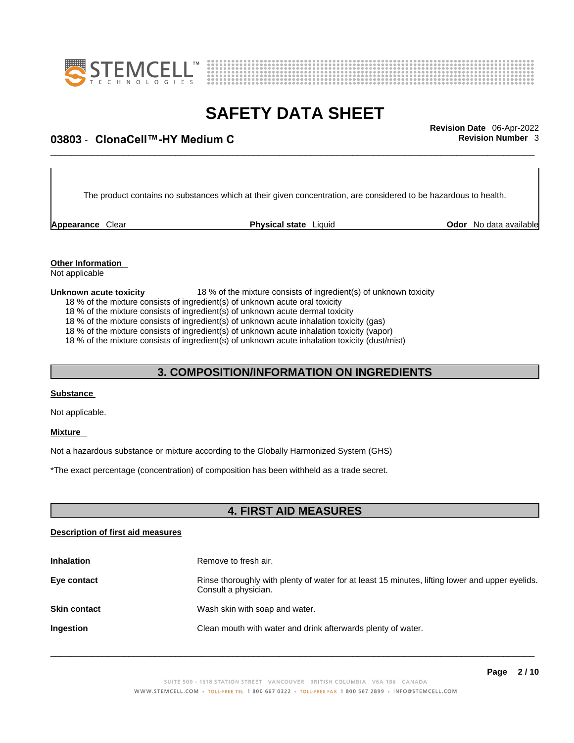



## \_\_\_\_\_\_\_\_\_\_\_\_\_\_\_\_\_\_\_\_\_\_\_\_\_\_\_\_\_\_\_\_\_\_\_\_\_\_\_\_\_\_\_\_\_\_\_\_\_\_\_\_\_\_\_\_\_\_\_\_\_\_\_\_\_\_\_\_\_\_\_\_\_\_\_\_\_\_\_\_\_\_\_\_\_\_\_\_\_\_\_\_\_ **Revision Date** 06-Apr-2022 **03803 - ClonaCell™-HY Medium C**  $\blacksquare$  **Revision Number 3**

The product contains no substances which at their given concentration, are considered to be hazardous to health.

**Appearance** Clear **Physical state** Liquid

**Odor** No data available

**Other Information**  Not applicable

#### **Unknown acute toxicity** 18 % of the mixture consists of ingredient(s) of unknown toxicity

18 % of the mixture consists of ingredient(s) of unknown acute oral toxicity

18 % of the mixture consists of ingredient(s) of unknown acute dermal toxicity

18 % of the mixture consists of ingredient(s) of unknown acute inhalation toxicity (gas)

18 % of the mixture consists of ingredient(s) of unknown acute inhalation toxicity (vapor)

18 % of the mixture consists of ingredient(s) of unknown acute inhalation toxicity (dust/mist)

### **3. COMPOSITION/INFORMATION ON INGREDIENTS**

#### **Substance**

Not applicable.

#### **Mixture**

Not a hazardous substance or mixture according to the Globally Harmonized System (GHS)

\*The exact percentage (concentration) of composition has been withheld as a trade secret.

### **4. FIRST AID MEASURES**

### **Description of first aid measures**

| <b>Inhalation</b>   | Remove to fresh air.                                                                                                    |
|---------------------|-------------------------------------------------------------------------------------------------------------------------|
| Eye contact         | Rinse thoroughly with plenty of water for at least 15 minutes, lifting lower and upper eyelids.<br>Consult a physician. |
| <b>Skin contact</b> | Wash skin with soap and water.                                                                                          |
| <b>Ingestion</b>    | Clean mouth with water and drink afterwards plenty of water.                                                            |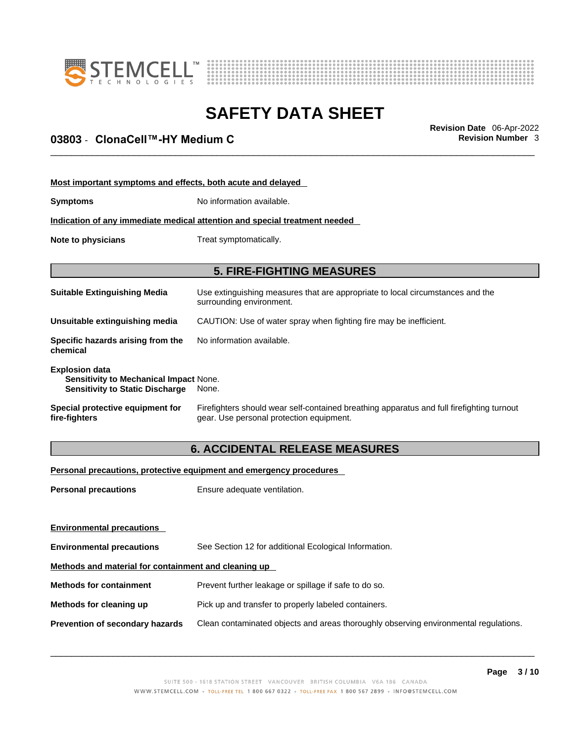



## \_\_\_\_\_\_\_\_\_\_\_\_\_\_\_\_\_\_\_\_\_\_\_\_\_\_\_\_\_\_\_\_\_\_\_\_\_\_\_\_\_\_\_\_\_\_\_\_\_\_\_\_\_\_\_\_\_\_\_\_\_\_\_\_\_\_\_\_\_\_\_\_\_\_\_\_\_\_\_\_\_\_\_\_\_\_\_\_\_\_\_\_\_ **Revision Date** 06-Apr-2022 **03803 - ClonaCell™-HY Medium C**  $\blacksquare$  **Revision Number 3**

| Most important symptoms and effects, both acute and delayed                                                      |                                                                                                                                       |  |
|------------------------------------------------------------------------------------------------------------------|---------------------------------------------------------------------------------------------------------------------------------------|--|
| <b>Symptoms</b>                                                                                                  | No information available.                                                                                                             |  |
| Indication of any immediate medical attention and special treatment needed                                       |                                                                                                                                       |  |
| Note to physicians                                                                                               | Treat symptomatically.                                                                                                                |  |
|                                                                                                                  |                                                                                                                                       |  |
|                                                                                                                  | <b>5. FIRE-FIGHTING MEASURES</b>                                                                                                      |  |
| <b>Suitable Extinguishing Media</b>                                                                              | Use extinguishing measures that are appropriate to local circumstances and the<br>surrounding environment.                            |  |
| Unsuitable extinguishing media                                                                                   | CAUTION: Use of water spray when fighting fire may be inefficient.                                                                    |  |
| Specific hazards arising from the<br>chemical                                                                    | No information available.                                                                                                             |  |
| <b>Explosion data</b><br><b>Sensitivity to Mechanical Impact None.</b><br><b>Sensitivity to Static Discharge</b> | None.                                                                                                                                 |  |
| Special protective equipment for<br>fire-fighters                                                                | Firefighters should wear self-contained breathing apparatus and full firefighting turnout<br>gear. Use personal protection equipment. |  |

### **6. ACCIDENTAL RELEASE MEASURES**

### **Personal precautions, protective equipment and emergency procedures**

| <b>Personal precautions</b>                          | Ensure adequate ventilation.                                                         |
|------------------------------------------------------|--------------------------------------------------------------------------------------|
|                                                      |                                                                                      |
| <b>Environmental precautions</b>                     |                                                                                      |
| <b>Environmental precautions</b>                     | See Section 12 for additional Ecological Information.                                |
| Methods and material for containment and cleaning up |                                                                                      |
| <b>Methods for containment</b>                       | Prevent further leakage or spillage if safe to do so.                                |
| Methods for cleaning up                              | Pick up and transfer to properly labeled containers.                                 |
| Prevention of secondary hazards                      | Clean contaminated objects and areas thoroughly observing environmental regulations. |
|                                                      |                                                                                      |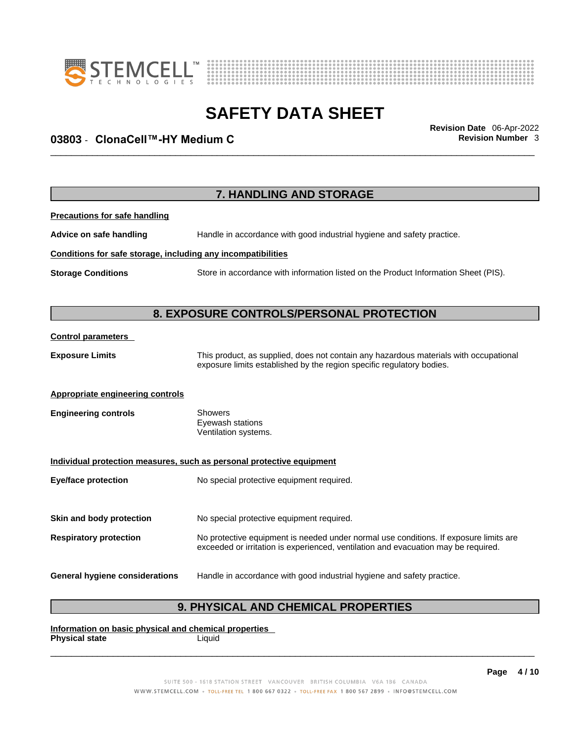



## \_\_\_\_\_\_\_\_\_\_\_\_\_\_\_\_\_\_\_\_\_\_\_\_\_\_\_\_\_\_\_\_\_\_\_\_\_\_\_\_\_\_\_\_\_\_\_\_\_\_\_\_\_\_\_\_\_\_\_\_\_\_\_\_\_\_\_\_\_\_\_\_\_\_\_\_\_\_\_\_\_\_\_\_\_\_\_\_\_\_\_\_\_ **Revision Date** 06-Apr-2022 **03803 - ClonaCell™-HY Medium C**  $\blacksquare$  **Revision Number 3**

|                                                              | 7. HANDLING AND STORAGE                                                                                                                                                     |
|--------------------------------------------------------------|-----------------------------------------------------------------------------------------------------------------------------------------------------------------------------|
| <b>Precautions for safe handling</b>                         |                                                                                                                                                                             |
| Advice on safe handling                                      | Handle in accordance with good industrial hygiene and safety practice.                                                                                                      |
| Conditions for safe storage, including any incompatibilities |                                                                                                                                                                             |
| <b>Storage Conditions</b>                                    | Store in accordance with information listed on the Product Information Sheet (PIS).                                                                                         |
|                                                              | 8. EXPOSURE CONTROLS/PERSONAL PROTECTION                                                                                                                                    |
| <b>Control parameters</b>                                    |                                                                                                                                                                             |
| <b>Exposure Limits</b>                                       | This product, as supplied, does not contain any hazardous materials with occupational<br>exposure limits established by the region specific regulatory bodies.              |
| <b>Appropriate engineering controls</b>                      |                                                                                                                                                                             |
| <b>Engineering controls</b>                                  | <b>Showers</b><br>Eyewash stations<br>Ventilation systems.                                                                                                                  |
|                                                              | Individual protection measures, such as personal protective equipment                                                                                                       |
| <b>Eye/face protection</b>                                   | No special protective equipment required.                                                                                                                                   |
| Skin and body protection                                     | No special protective equipment required.                                                                                                                                   |
| <b>Respiratory protection</b>                                | No protective equipment is needed under normal use conditions. If exposure limits are<br>exceeded or irritation is experienced, ventilation and evacuation may be required. |
| <b>General hygiene considerations</b>                        | Handle in accordance with good industrial hygiene and safety practice.                                                                                                      |

### **9. PHYSICAL AND CHEMICAL PROPERTIES**

**Information on basic physical and chemical properties Physical state** Liquid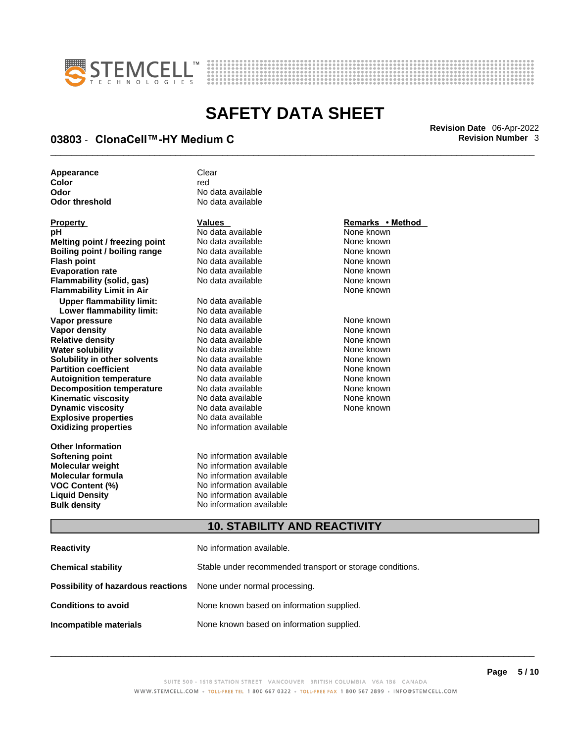



## \_\_\_\_\_\_\_\_\_\_\_\_\_\_\_\_\_\_\_\_\_\_\_\_\_\_\_\_\_\_\_\_\_\_\_\_\_\_\_\_\_\_\_\_\_\_\_\_\_\_\_\_\_\_\_\_\_\_\_\_\_\_\_\_\_\_\_\_\_\_\_\_\_\_\_\_\_\_\_\_\_\_\_\_\_\_\_\_\_\_\_\_\_ **Revision Date** 06-Apr-2022 **03803 - ClonaCell™-HY Medium C**  $\blacksquare$  **Revision Number 3**

| Appearance     | Clear             |
|----------------|-------------------|
| Color          | red               |
| Odor           | No data available |
| Odor threshold | No data available |

| <u>Property</u>                      |
|--------------------------------------|
| рH                                   |
| Melting point / freezing point       |
| <b>Boiling point / boiling range</b> |
| <b>Flash point</b>                   |
| <b>Evaporation rate</b>              |
| <b>Flammability (solid, gas)</b>     |
| <b>Flammability Limit in Air</b>     |
| <b>Upper flammability limit:</b>     |
| Lower flammability limit:            |
| Vapor pressure                       |
| <b>Vapor density</b>                 |
| <b>Relative density</b>              |
| <b>Water solubility</b>              |
| Solubility in other solvents         |
| <b>Partition coefficient</b>         |
| <b>Autoignition temperature</b>      |
| <b>Decomposition temperature</b>     |
| Kinematic viscosity                  |
| <b>Dynamic viscosity</b>             |
| <b>Explosive properties</b>          |
| <b>Oxidizing properties</b>          |
|                                      |

**Other Information** 

**No data available** None known **No data available None known Roidata available 1999 Mone known**<br> **Boiling** None known<br> **Roidata available None known No data available Evaporation No data available None known**<br> **Evaporation** None known<br>
None known **No data available** 

**Explosive properties** No data available **Oxidizing properties** No information available **No data available Lower flammability limit:** No data available **Vapora Available None known**<br> **Pressure No data available None known**<br>
None known **Vapor density Available** None known<br>
No data available None known **No data available No data available None known Solution Islam in Solution None known** None known **Partition Partition Coefficient Coefficient Coefficient Coefficient Coefficient Coefficient Coefficient Coefficient Coefficient Coefficient Coefficient Coefficient Coefficient Coefficient C Automische Munder None known**<br> **Automische None known**<br>
None known **No data available** No data available **None known** No data available None known

**Softening point**<br> **Molecular weight**<br> **Molecular weight**<br> **Molecular weight**<br> **Molecular weight No information available Molecular formula** No information available **VOC Content (%)**<br>
Liquid Density<br>
No information available<br>
No information available **No information available Bulk density No information available** 

### **Property Values Remarks • Method**

**None known** 

### **10. STABILITY AND REACTIVITY**

| Reactivity                                                              | No information available.                                 |
|-------------------------------------------------------------------------|-----------------------------------------------------------|
| Chemical stability                                                      | Stable under recommended transport or storage conditions. |
| <b>Possibility of hazardous reactions</b> None under normal processing. |                                                           |
| Conditions to avoid                                                     | None known based on information supplied.                 |
| Incompatible materials                                                  | None known based on information supplied.                 |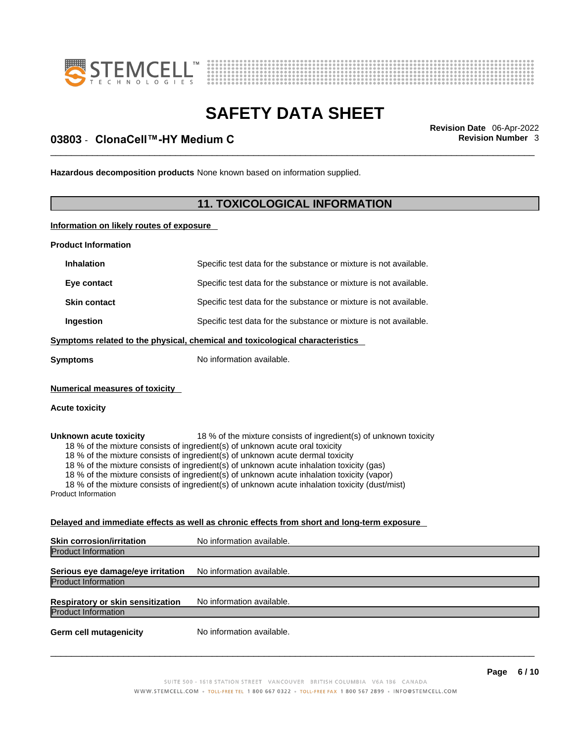



## \_\_\_\_\_\_\_\_\_\_\_\_\_\_\_\_\_\_\_\_\_\_\_\_\_\_\_\_\_\_\_\_\_\_\_\_\_\_\_\_\_\_\_\_\_\_\_\_\_\_\_\_\_\_\_\_\_\_\_\_\_\_\_\_\_\_\_\_\_\_\_\_\_\_\_\_\_\_\_\_\_\_\_\_\_\_\_\_\_\_\_\_\_ **Revision Date** 06-Apr-2022 **03803 - ClonaCell™-HY Medium C**  $\blacksquare$  **Revision Number 3**

**Hazardous decomposition products** None known based on information supplied.

### **11. TOXICOLOGICAL INFORMATION**

**Information on likely routes of exposure**

**Product Information**

| <b>Inhalation</b>                                                            | Specific test data for the substance or mixture is not available. |
|------------------------------------------------------------------------------|-------------------------------------------------------------------|
| Eye contact                                                                  | Specific test data for the substance or mixture is not available. |
| <b>Skin contact</b>                                                          | Specific test data for the substance or mixture is not available. |
| Ingestion                                                                    | Specific test data for the substance or mixture is not available. |
| Symptoms related to the physical, chemical and toxicological characteristics |                                                                   |
| Symptoms                                                                     | No information available.                                         |

**Numerical measures of toxicity**

#### **Acute toxicity**

**Unknown acute toxicity** 18 % of the mixture consists of ingredient(s) of unknown toxicity 18 % of the mixture consists of ingredient(s) of unknown acute oral toxicity

18 % of the mixture consists of ingredient(s) of unknown acute dermal toxicity

18 % of the mixture consists of ingredient(s) of unknown acute inhalation toxicity (gas)

18 % of the mixture consists of ingredient(s) of unknown acute inhalation toxicity (vapor)

18 % of the mixture consists of ingredient(s) of unknown acute inhalation toxicity (dust/mist) Product Information

**Delayed and immediate effects as well as chronic effects from short and long-term exposure**

| <b>Skin corrosion/irritation</b>                                       | No information available. |
|------------------------------------------------------------------------|---------------------------|
| <b>Product Information</b>                                             |                           |
| Serious eye damage/eye irritation                                      | No information available. |
| <b>Product Information</b>                                             |                           |
| <b>Respiratory or skin sensitization</b><br><b>Product Information</b> | No information available. |
|                                                                        |                           |
| <b>Germ cell mutagenicity</b>                                          | No information available. |
|                                                                        |                           |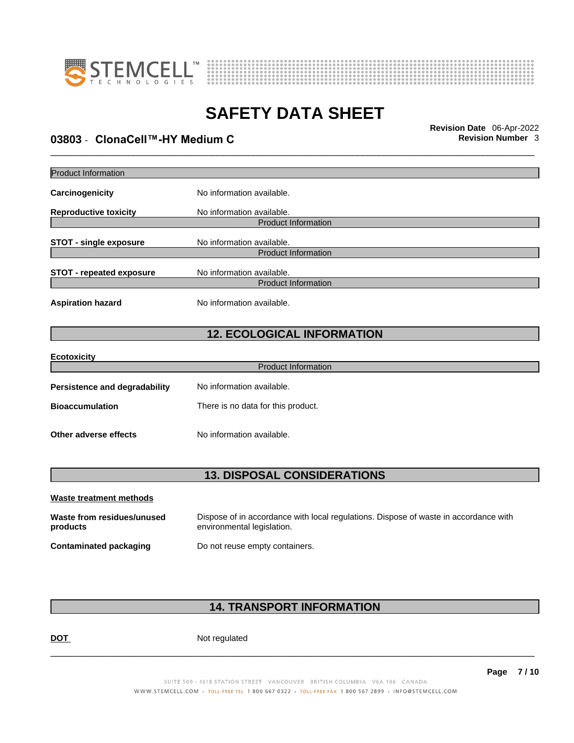



## \_\_\_\_\_\_\_\_\_\_\_\_\_\_\_\_\_\_\_\_\_\_\_\_\_\_\_\_\_\_\_\_\_\_\_\_\_\_\_\_\_\_\_\_\_\_\_\_\_\_\_\_\_\_\_\_\_\_\_\_\_\_\_\_\_\_\_\_\_\_\_\_\_\_\_\_\_\_\_\_\_\_\_\_\_\_\_\_\_\_\_\_\_ **Revision Date** 06-Apr-2022 **03803 - ClonaCell™-HY Medium C**  $\blacksquare$  **Revision Number 3**

| <b>Product Information</b>           |                                    |  |  |
|--------------------------------------|------------------------------------|--|--|
| Carcinogenicity                      | No information available.          |  |  |
| <b>Reproductive toxicity</b>         | No information available.          |  |  |
|                                      | <b>Product Information</b>         |  |  |
| <b>STOT - single exposure</b>        | No information available.          |  |  |
|                                      | <b>Product Information</b>         |  |  |
| <b>STOT - repeated exposure</b>      | No information available.          |  |  |
|                                      | <b>Product Information</b>         |  |  |
| <b>Aspiration hazard</b>             | No information available.          |  |  |
|                                      | <b>12. ECOLOGICAL INFORMATION</b>  |  |  |
| <b>Ecotoxicity</b>                   |                                    |  |  |
|                                      | <b>Product Information</b>         |  |  |
| <b>Persistence and degradability</b> | No information available.          |  |  |
| <b>Bioaccumulation</b>               | There is no data for this product. |  |  |
| Other adverse effects                | No information available.          |  |  |
| <b>13. DISPOSAL CONSIDERATIONS</b>   |                                    |  |  |
| <b>Waste treatment methods</b>       |                                    |  |  |

| waste treatment methods                |                                                                                                                    |
|----------------------------------------|--------------------------------------------------------------------------------------------------------------------|
| Waste from residues/unused<br>products | Dispose of in accordance with local regulations. Dispose of waste in accordance with<br>environmental legislation. |
| <b>Contaminated packaging</b>          | Do not reuse empty containers.                                                                                     |

### **14. TRANSPORT INFORMATION**

DOT Not regulated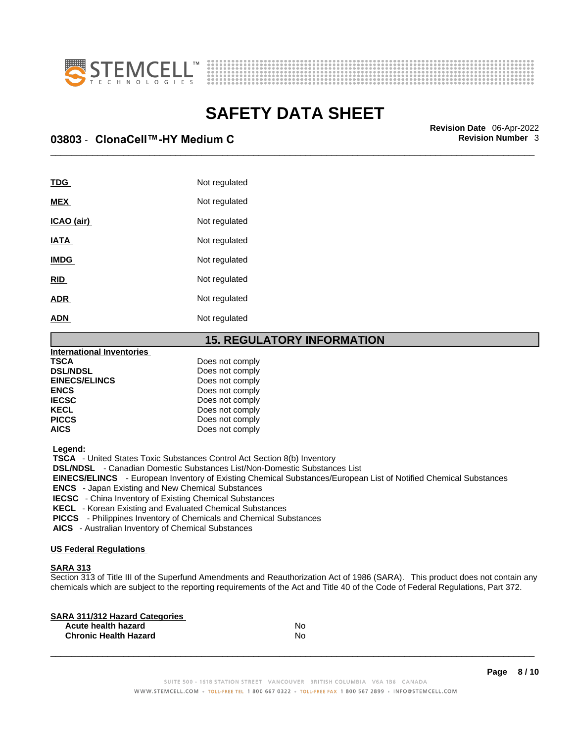



\_\_\_\_\_\_\_\_\_\_\_\_\_\_\_\_\_\_\_\_\_\_\_\_\_\_\_\_\_\_\_\_\_\_\_\_\_\_\_\_\_\_\_\_\_\_\_\_\_\_\_\_\_\_\_\_\_\_\_\_\_\_\_\_\_\_\_\_\_\_\_\_\_\_\_\_\_\_\_\_\_\_\_\_\_\_\_\_\_\_\_\_\_ **Revision Date** 06-Apr-2022 **03803 - ClonaCell™-HY Medium C**  $\blacksquare$  **Revision Number 3** 

| TDG         | Not regulated |
|-------------|---------------|
| <b>MEX</b>  | Not regulated |
| ICAO (air)  | Not regulated |
| <b>IATA</b> | Not regulated |
| <b>IMDG</b> | Not regulated |
| <b>RID</b>  | Not regulated |
| <b>ADR</b>  | Not regulated |
| <b>ADN</b>  | Not regulated |
|             |               |

### **15. REGULATORY INFORMATION**

| International Inventories |                 |  |
|---------------------------|-----------------|--|
| <b>TSCA</b>               | Does not comply |  |
| <b>DSL/NDSL</b>           | Does not comply |  |
| <b>EINECS/ELINCS</b>      | Does not comply |  |
| <b>ENCS</b>               | Does not comply |  |
| <b>IECSC</b>              | Does not comply |  |
| <b>KECL</b>               | Does not comply |  |
| <b>PICCS</b>              | Does not comply |  |
| <b>AICS</b>               | Does not comply |  |
|                           |                 |  |

 **Legend:** 

 **TSCA** - United States Toxic Substances Control Act Section 8(b) Inventory

 **DSL/NDSL** - Canadian Domestic Substances List/Non-Domestic Substances List

 **EINECS/ELINCS** - European Inventory of Existing Chemical Substances/European List of Notified Chemical Substances

 **ENCS** - Japan Existing and New Chemical Substances

 **IECSC** - China Inventory of Existing Chemical Substances

 **KECL** - Korean Existing and Evaluated Chemical Substances

 **PICCS** - Philippines Inventory of Chemicals and Chemical Substances

 **AICS** - Australian Inventory of Chemical Substances

### **US Federal Regulations**

### **SARA 313**

Section 313 of Title III of the Superfund Amendments and Reauthorization Act of 1986 (SARA). This product does not contain any chemicals which are subject to the reporting requirements of the Act and Title 40 of the Code of Federal Regulations, Part 372.

| No |  |
|----|--|
| N٥ |  |
|    |  |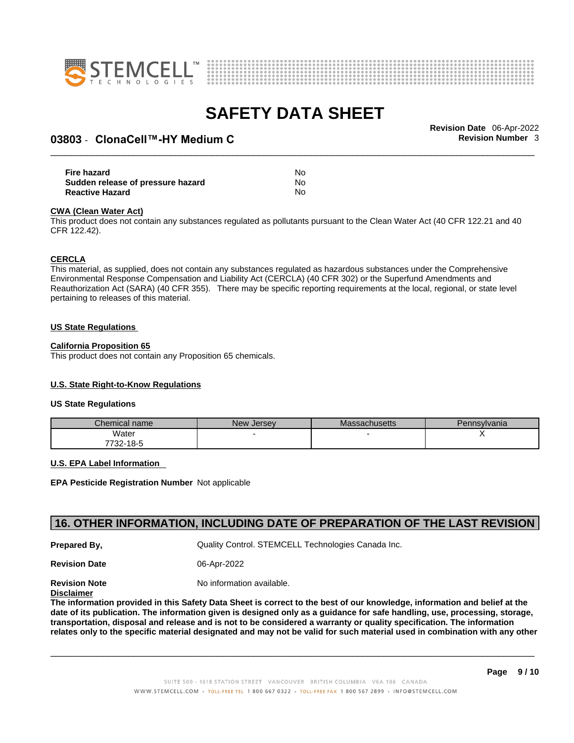



## \_\_\_\_\_\_\_\_\_\_\_\_\_\_\_\_\_\_\_\_\_\_\_\_\_\_\_\_\_\_\_\_\_\_\_\_\_\_\_\_\_\_\_\_\_\_\_\_\_\_\_\_\_\_\_\_\_\_\_\_\_\_\_\_\_\_\_\_\_\_\_\_\_\_\_\_\_\_\_\_\_\_\_\_\_\_\_\_\_\_\_\_\_ **Revision Date** 06-Apr-2022 **03803 - ClonaCell™-HY Medium C**  $\blacksquare$  **Revision Number 3**

| Fire hazard                       | No |  |
|-----------------------------------|----|--|
| Sudden release of pressure hazard | No |  |
| <b>Reactive Hazard</b>            | No |  |

#### **CWA** (Clean Water Act)

This product does not contain any substances regulated as pollutants pursuant to the Clean Water Act (40 CFR 122.21 and 40 CFR 122.42).

#### **CERCLA**

This material, as supplied, does not contain any substances regulated as hazardous substances under the Comprehensive Environmental Response Compensation and Liability Act (CERCLA) (40 CFR 302) or the Superfund Amendments and Reauthorization Act (SARA) (40 CFR 355). There may be specific reporting requirements at the local, regional, or state level pertaining to releases of this material.

#### **US State Regulations**

#### **California Proposition 65**

This product does not contain any Proposition 65 chemicals.

### **U.S. State Right-to-Know Regulations**

#### **US State Regulations**

| Chemical name     | New<br><b>Jersey</b> | <b>Massachusetts</b> | Pennsylvania |
|-------------------|----------------------|----------------------|--------------|
| Water             |                      |                      |              |
| 7700.<br>732-18-5 |                      |                      |              |

#### **U.S. EPA Label Information**

**EPA Pesticide Registration Number** Not applicable

### **16. OTHER INFORMATION, INCLUDING DATE OF PREPARATION OF THE LAST REVISION**

**Prepared By, Cuality Control. STEMCELL Technologies Canada Inc.** 

**Revision Date** 06-Apr-2022

**Revision Note** Noinformation available.

**Disclaimer**

The information provided in this Safety Data Sheet is correct to the best of our knowledge, information and belief at the date of its publication. The information given is designed only as a guidance for safe handling, use, processing, storage, transportation, disposal and release and is not to be considered a warranty or quality specification. The information relates only to the specific material designated and may not be valid for such material used in combination with any other